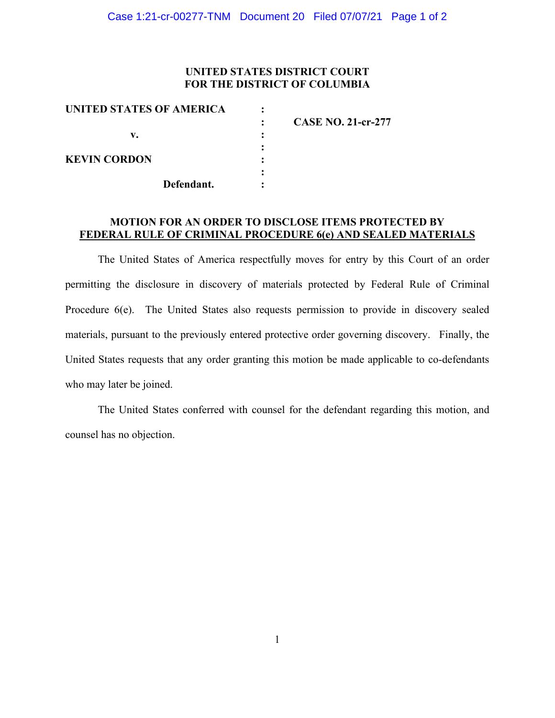### **UNITED STATES DISTRICT COURT FOR THE DISTRICT OF COLUMBIA**

| <b>CASE NO. 21-cr-277</b> |
|---------------------------|
|                           |
|                           |
|                           |
|                           |
|                           |
|                           |

### **MOTION FOR AN ORDER TO DISCLOSE ITEMS PROTECTED BY FEDERAL RULE OF CRIMINAL PROCEDURE 6(e) AND SEALED MATERIALS**

The United States of America respectfully moves for entry by this Court of an order permitting the disclosure in discovery of materials protected by Federal Rule of Criminal Procedure 6(e). The United States also requests permission to provide in discovery sealed materials, pursuant to the previously entered protective order governing discovery. Finally, the United States requests that any order granting this motion be made applicable to co-defendants who may later be joined.

The United States conferred with counsel for the defendant regarding this motion, and counsel has no objection.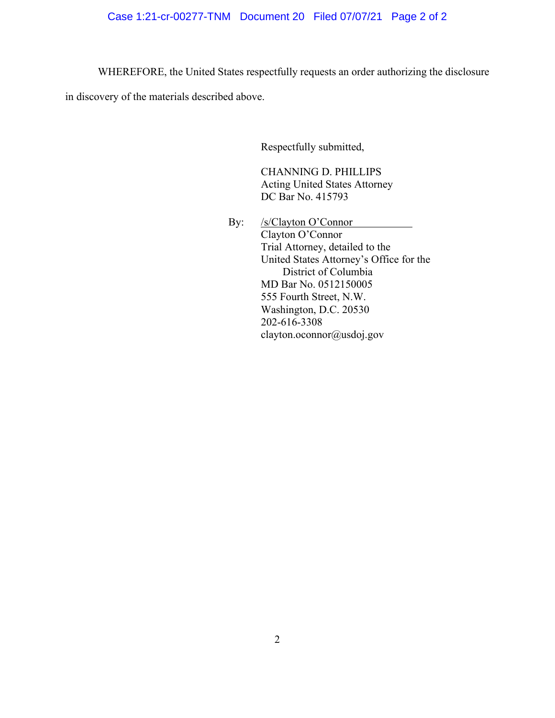# Case 1:21-cr-00277-TNM Document 20 Filed 07/07/21 Page 2 of 2

WHEREFORE, the United States respectfully requests an order authorizing the disclosure

in discovery of the materials described above.

Respectfully submitted,

CHANNING D. PHILLIPS Acting United States Attorney DC Bar No. 415793

By: /s/Clayton O'Connor Clayton O'Connor Trial Attorney, detailed to the United States Attorney's Office for the District of Columbia MD Bar No. 0512150005 555 Fourth Street, N.W. Washington, D.C. 20530 202-616-3308 clayton.oconnor@usdoj.gov